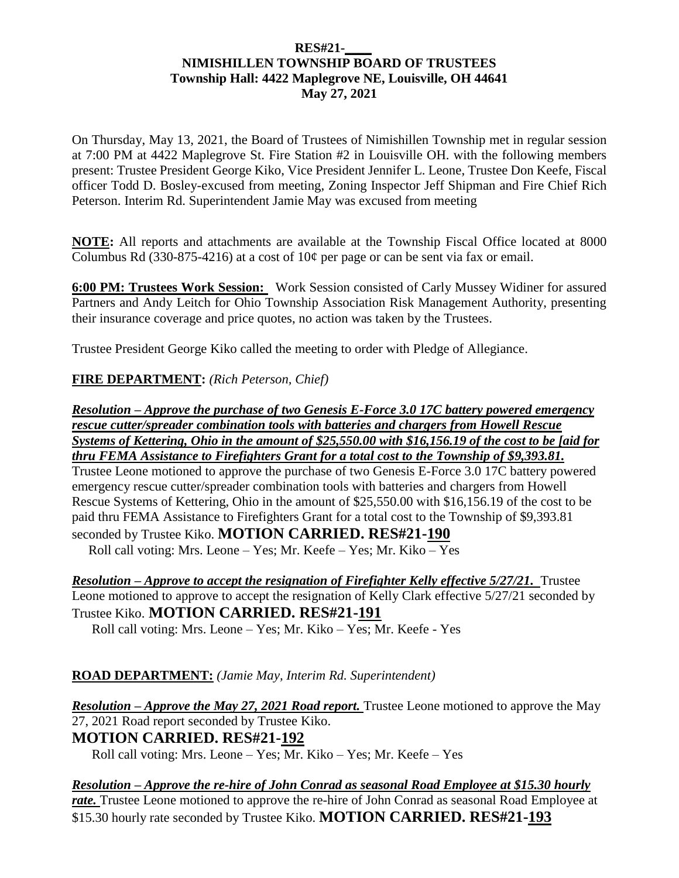### **RES#21-\_\_\_\_ NIMISHILLEN TOWNSHIP BOARD OF TRUSTEES Township Hall: 4422 Maplegrove NE, Louisville, OH 44641 May 27, 2021**

On Thursday, May 13, 2021, the Board of Trustees of Nimishillen Township met in regular session at 7:00 PM at 4422 Maplegrove St. Fire Station #2 in Louisville OH. with the following members present: Trustee President George Kiko, Vice President Jennifer L. Leone, Trustee Don Keefe, Fiscal officer Todd D. Bosley-excused from meeting, Zoning Inspector Jeff Shipman and Fire Chief Rich Peterson. Interim Rd. Superintendent Jamie May was excused from meeting

**NOTE:** All reports and attachments are available at the Township Fiscal Office located at 8000 Columbus Rd (330-875-4216) at a cost of  $10¢$  per page or can be sent via fax or email.

**6:00 PM: Trustees Work Session:** Work Session consisted of Carly Mussey Widiner for assured Partners and Andy Leitch for Ohio Township Association Risk Management Authority, presenting their insurance coverage and price quotes, no action was taken by the Trustees.

Trustee President George Kiko called the meeting to order with Pledge of Allegiance.

### **FIRE DEPARTMENT:** *(Rich Peterson, Chief)*

*Resolution – Approve the purchase of two Genesis E-Force 3.0 17C battery powered emergency rescue cutter/spreader combination tools with batteries and chargers from Howell Rescue Systems of Kettering, Ohio in the amount of \$25,550.00 with \$16,156.19 of the cost to be [aid for thru FEMA Assistance to Firefighters Grant for a total cost to the Township of \$9,393.81.* Trustee Leone motioned to approve the purchase of two Genesis E-Force 3.0 17C battery powered emergency rescue cutter/spreader combination tools with batteries and chargers from Howell Rescue Systems of Kettering, Ohio in the amount of \$25,550.00 with \$16,156.19 of the cost to be paid thru FEMA Assistance to Firefighters Grant for a total cost to the Township of \$9,393.81 seconded by Trustee Kiko. **MOTION CARRIED. RES#21-190** Roll call voting: Mrs. Leone – Yes; Mr. Keefe – Yes; Mr. Kiko – Yes

*Resolution – Approve to accept the resignation of Firefighter Kelly effective 5/27/21.* Trustee Leone motioned to approve to accept the resignation of Kelly Clark effective 5/27/21 seconded by Trustee Kiko. **MOTION CARRIED. RES#21-191**  Roll call voting: Mrs. Leone – Yes; Mr. Kiko – Yes; Mr. Keefe - Yes

### **ROAD DEPARTMENT:** *(Jamie May, Interim Rd. Superintendent)*

*Resolution – Approve the May 27, 2021 Road report.* Trustee Leone motioned to approve the May 27, 2021 Road report seconded by Trustee Kiko. **MOTION CARRIED. RES#21-192**

Roll call voting: Mrs. Leone – Yes; Mr. Kiko – Yes; Mr. Keefe – Yes

*Resolution – Approve the re-hire of John Conrad as seasonal Road Employee at \$15.30 hourly rate.* Trustee Leone motioned to approve the re-hire of John Conrad as seasonal Road Employee at \$15.30 hourly rate seconded by Trustee Kiko. **MOTION CARRIED. RES#21-193**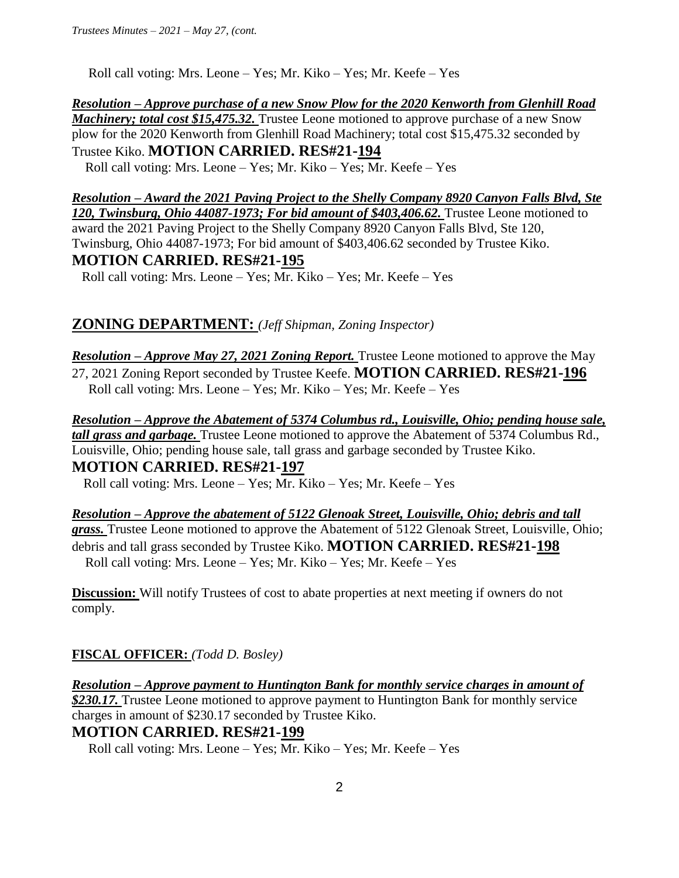Roll call voting: Mrs. Leone – Yes; Mr. Kiko – Yes; Mr. Keefe – Yes

*Resolution – Approve purchase of a new Snow Plow for the 2020 Kenworth from Glenhill Road Machinery; total cost \$15,475.32.* Trustee Leone motioned to approve purchase of a new Snow plow for the 2020 Kenworth from Glenhill Road Machinery; total cost \$15,475.32 seconded by Trustee Kiko. **MOTION CARRIED. RES#21-194** 

Roll call voting: Mrs. Leone – Yes; Mr. Kiko – Yes; Mr. Keefe – Yes

*Resolution – Award the 2021 Paving Project to the Shelly Company 8920 Canyon Falls Blvd, Ste 120, Twinsburg, Ohio 44087-1973; For bid amount of \$403,406.62.* Trustee Leone motioned to award the 2021 Paving Project to the Shelly Company 8920 Canyon Falls Blvd, Ste 120, Twinsburg, Ohio 44087-1973; For bid amount of \$403,406.62 seconded by Trustee Kiko. **MOTION CARRIED. RES#21-195**  Roll call voting: Mrs. Leone – Yes; Mr. Kiko – Yes; Mr. Keefe – Yes

# **ZONING DEPARTMENT:** *(Jeff Shipman, Zoning Inspector)*

*Resolution – Approve May 27, 2021 Zoning Report.* Trustee Leone motioned to approve the May 27, 2021 Zoning Report seconded by Trustee Keefe. **MOTION CARRIED. RES#21-196** Roll call voting: Mrs. Leone – Yes; Mr. Kiko – Yes; Mr. Keefe – Yes

*Resolution – Approve the Abatement of 5374 Columbus rd., Louisville, Ohio; pending house sale, tall grass and garbage.* Trustee Leone motioned to approve the Abatement of 5374 Columbus Rd., Louisville, Ohio; pending house sale, tall grass and garbage seconded by Trustee Kiko. **MOTION CARRIED. RES#21-197**

Roll call voting: Mrs. Leone – Yes; Mr. Kiko – Yes; Mr. Keefe – Yes

*Resolution – Approve the abatement of 5122 Glenoak Street, Louisville, Ohio; debris and tall grass.* Trustee Leone motioned to approve the Abatement of 5122 Glenoak Street, Louisville, Ohio; debris and tall grass seconded by Trustee Kiko. **MOTION CARRIED. RES#21-198**  Roll call voting: Mrs. Leone – Yes; Mr. Kiko – Yes; Mr. Keefe – Yes

**Discussion:** Will notify Trustees of cost to abate properties at next meeting if owners do not comply.

### **FISCAL OFFICER:** *(Todd D. Bosley)*

*Resolution – Approve payment to Huntington Bank for monthly service charges in amount of \$230.17.* Trustee Leone motioned to approve payment to Huntington Bank for monthly service charges in amount of \$230.17 seconded by Trustee Kiko. **MOTION CARRIED. RES#21-199**

Roll call voting: Mrs. Leone – Yes; Mr. Kiko – Yes; Mr. Keefe – Yes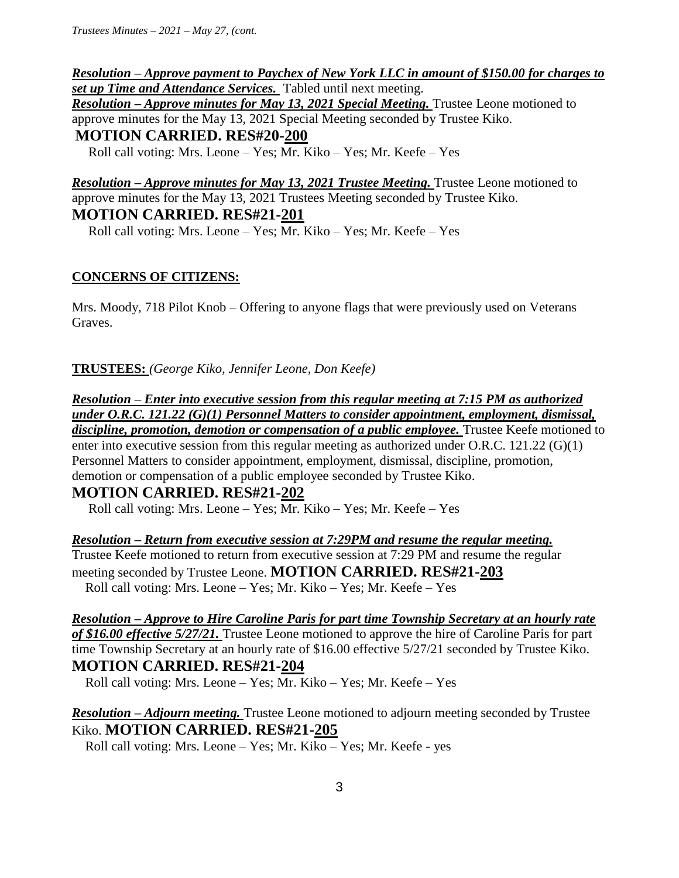*Resolution – Approve payment to Paychex of New York LLC in amount of \$150.00 for charges to set up Time and Attendance Services.* Tabled until next meeting. *Resolution – Approve minutes for May 13, 2021 Special Meeting.* Trustee Leone motioned to approve minutes for the May 13, 2021 Special Meeting seconded by Trustee Kiko. **MOTION CARRIED. RES#20-200** Roll call voting: Mrs. Leone – Yes; Mr. Kiko – Yes; Mr. Keefe – Yes

*Resolution – Approve minutes for May 13, 2021 Trustee Meeting.* Trustee Leone motioned to approve minutes for the May 13, 2021 Trustees Meeting seconded by Trustee Kiko. **MOTION CARRIED. RES#21-201**

Roll call voting: Mrs. Leone – Yes; Mr. Kiko – Yes; Mr. Keefe – Yes

### **CONCERNS OF CITIZENS:**

Mrs. Moody, 718 Pilot Knob – Offering to anyone flags that were previously used on Veterans Graves.

**TRUSTEES:** *(George Kiko, Jennifer Leone, Don Keefe)*

*Resolution – Enter into executive session from this regular meeting at 7:15 PM as authorized under O.R.C. 121.22 (G)(1) Personnel Matters to consider appointment, employment, dismissal,*  discipline, promotion, demotion or compensation of a public employee. Trustee Keefe motioned to enter into executive session from this regular meeting as authorized under O.R.C. 121.22 (G)(1) Personnel Matters to consider appointment, employment, dismissal, discipline, promotion, demotion or compensation of a public employee seconded by Trustee Kiko.

## **MOTION CARRIED. RES#21-202**

Roll call voting: Mrs. Leone – Yes; Mr. Kiko – Yes; Mr. Keefe – Yes

*Resolution – Return from executive session at 7:29PM and resume the regular meeting.*

Trustee Keefe motioned to return from executive session at 7:29 PM and resume the regular meeting seconded by Trustee Leone. **MOTION CARRIED. RES#21-203**  Roll call voting: Mrs. Leone – Yes; Mr. Kiko – Yes; Mr. Keefe – Yes

*Resolution – Approve to Hire Caroline Paris for part time Township Secretary at an hourly rate of \$16.00 effective 5/27/21.* Trustee Leone motioned to approve the hire of Caroline Paris for part time Township Secretary at an hourly rate of \$16.00 effective 5/27/21 seconded by Trustee Kiko. **MOTION CARRIED. RES#21-204** 

Roll call voting: Mrs. Leone – Yes; Mr. Kiko – Yes; Mr. Keefe – Yes

*Resolution – Adjourn meeting.* Trustee Leone motioned to adjourn meeting seconded by Trustee Kiko. **MOTION CARRIED. RES#21-205** 

Roll call voting: Mrs. Leone – Yes; Mr. Kiko – Yes; Mr. Keefe - yes